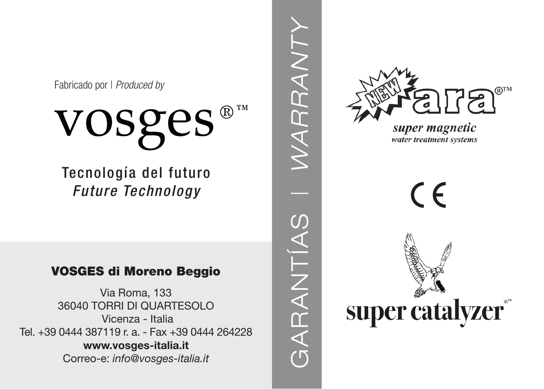Fabricado por | *Produced by*

VOSges<sup>®™</sup>

Tecnología del futuro *Future Technology*

## VOSGES di Moreno Beggio

Via Roma, 133 36040 TORRI DI QUARTESOLO Vicenza - Italia Tel. +39 0444 387119 r. a. - Fax +39 0444 264228 www.vosges-italia.it Correo-e: *info@vosges-italia.it*



GARANTÍAS | *WARRANTY*

ARARNTÍA